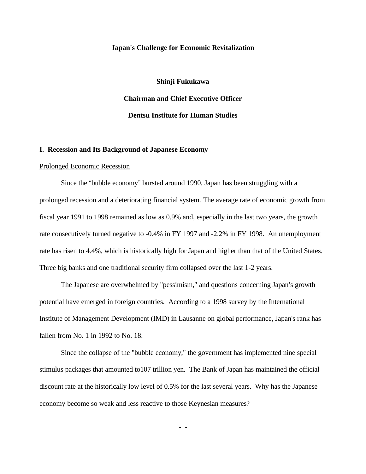# **Japan's Challenge for Economic Revitalization**

**Shinji Fukukawa Chairman and Chief Executive Officer Dentsu Institute for Human Studies**

## **I. Recession and Its Background of Japanese Economy**

#### Prolonged Economic Recession

Since the "bubble economy" bursted around 1990, Japan has been struggling with a prolonged recession and a deteriorating financial system. The average rate of economic growth from fiscal year 1991 to 1998 remained as low as 0.9% and, especially in the last two years, the growth rate consecutively turned negative to -0.4% in FY 1997 and -2.2% in FY 1998. An unemployment rate has risen to 4.4%, which is historically high for Japan and higher than that of the United States. Three big banks and one traditional security firm collapsed over the last 1-2 years.

The Japanese are overwhelmed by "pessimism," and questions concerning Japan's growth potential have emerged in foreign countries. According to a 1998 survey by the International Institute of Management Development (IMD) in Lausanne on global performance, Japan's rank has fallen from No. 1 in 1992 to No. 18.

Since the collapse of the "bubble economy," the government has implemented nine special stimulus packages that amounted to107 trillion yen. The Bank of Japan has maintained the official discount rate at the historically low level of 0.5% for the last several years. Why has the Japanese economy become so weak and less reactive to those Keynesian measures?

-1-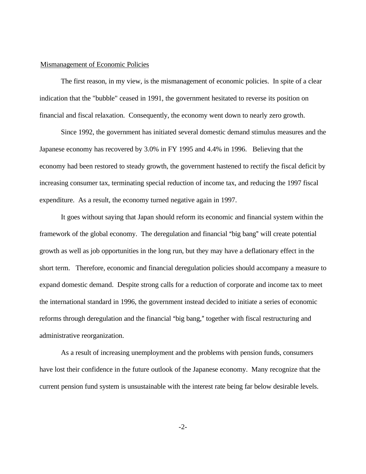#### Mismanagement of Economic Policies

The first reason, in my view, is the mismanagement of economic policies. In spite of a clear indication that the "bubble" ceased in 1991, the government hesitated to reverse its position on financial and fiscal relaxation. Consequently, the economy went down to nearly zero growth.

Since 1992, the government has initiated several domestic demand stimulus measures and the Japanese economy has recovered by 3.0% in FY 1995 and 4.4% in 1996. Believing that the economy had been restored to steady growth, the government hastened to rectify the fiscal deficit by increasing consumer tax, terminating special reduction of income tax, and reducing the 1997 fiscal expenditure. As a result, the economy turned negative again in 1997.

It goes without saying that Japan should reform its economic and financial system within the framework of the global economy. The deregulation and financial "big bang" will create potential growth as well as job opportunities in the long run, but they may have a deflationary effect in the short term. Therefore, economic and financial deregulation policies should accompany a measure to expand domestic demand. Despite strong calls for a reduction of corporate and income tax to meet the international standard in 1996, the government instead decided to initiate a series of economic reforms through deregulation and the financial "big bang," together with fiscal restructuring and administrative reorganization.

As a result of increasing unemployment and the problems with pension funds, consumers have lost their confidence in the future outlook of the Japanese economy. Many recognize that the current pension fund system is unsustainable with the interest rate being far below desirable levels.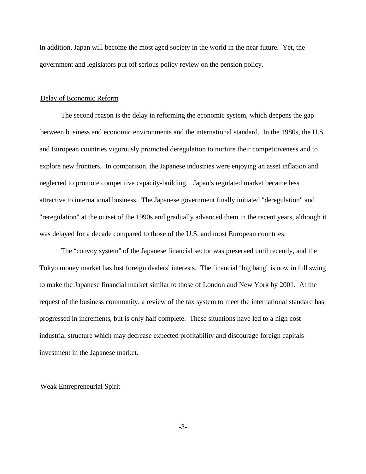In addition, Japan will become the most aged society in the world in the near future. Yet, the government and legislators put off serious policy review on the pension policy.

#### Delay of Economic Reform

The second reason is the delay in reforming the economic system, which deepens the gap between business and economic environments and the international standard. In the 1980s, the U.S. and European countries vigorously promoted deregulation to nurture their competitiveness and to explore new frontiers. In comparison, the Japanese industries were enjoying an asset inflation and neglected to promote competitive capacity-building. Japan's regulated market became less attractive to international business. The Japanese government finally initiated "deregulation" and "reregulation" at the outset of the 1990s and gradually advanced them in the recent years, although it was delayed for a decade compared to those of the U.S. and most European countries.

The "convoy system" of the Japanese financial sector was preserved until recently, and the Tokyo money market has lost foreign dealers' interests. The financial "big bang" is now in full swing to make the Japanese financial market similar to those of London and New York by 2001. At the request of the business community, a review of the tax system to meet the international standard has progressed in increments, but is only half complete. These situations have led to a high cost industrial structure which may decrease expected profitability and discourage foreign capitals investment in the Japanese market.

# Weak Entrepreneurial Spirit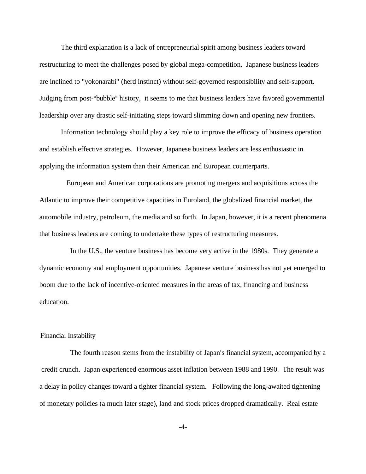The third explanation is a lack of entrepreneurial spirit among business leaders toward restructuring to meet the challenges posed by global mega-competition. Japanese business leaders are inclined to "yokonarabi" (herd instinct) without self-governed responsibility and self-support. Judging from post-"bubble" history, it seems to me that business leaders have favored governmental leadership over any drastic self-initiating steps toward slimming down and opening new frontiers.

 Information technology should play a key role to improve the efficacy of business operation and establish effective strategies. However, Japanese business leaders are less enthusiastic in applying the information system than their American and European counterparts.

 European and American corporations are promoting mergers and acquisitions across the Atlantic to improve their competitive capacities in Euroland, the globalized financial market, the automobile industry, petroleum, the media and so forth. In Japan, however, it is a recent phenomena that business leaders are coming to undertake these types of restructuring measures.

 In the U.S., the venture business has become very active in the 1980s. They generate a dynamic economy and employment opportunities. Japanese venture business has not yet emerged to boom due to the lack of incentive-oriented measures in the areas of tax, financing and business education.

## Financial Instability

The fourth reason stems from the instability of Japan's financial system, accompanied by a credit crunch. Japan experienced enormous asset inflation between 1988 and 1990. The result was a delay in policy changes toward a tighter financial system. Following the long-awaited tightening of monetary policies (a much later stage), land and stock prices dropped dramatically. Real estate

-4-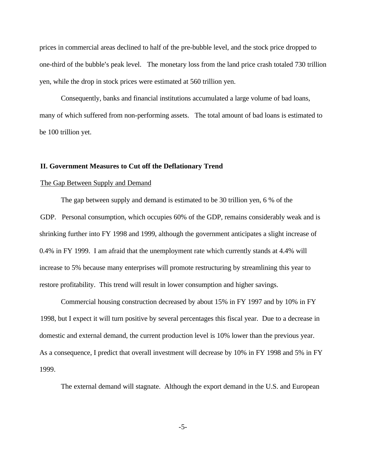prices in commercial areas declined to half of the pre-bubble level, and the stock price dropped to one-third of the bubble's peak level. The monetary loss from the land price crash totaled 730 trillion yen, while the drop in stock prices were estimated at 560 trillion yen.

Consequently, banks and financial institutions accumulated a large volume of bad loans, many of which suffered from non-performing assets. The total amount of bad loans is estimated to be 100 trillion yet.

## **II. Government Measures to Cut off the Deflationary Trend**

#### The Gap Between Supply and Demand

The gap between supply and demand is estimated to be 30 trillion yen, 6 % of the GDP. Personal consumption, which occupies 60% of the GDP, remains considerably weak and is shrinking further into FY 1998 and 1999, although the government anticipates a slight increase of 0.4% in FY 1999. I am afraid that the unemployment rate which currently stands at 4.4% will increase to 5% because many enterprises will promote restructuring by streamlining this year to restore profitability. This trend will result in lower consumption and higher savings.

Commercial housing construction decreased by about 15% in FY 1997 and by 10% in FY 1998, but I expect it will turn positive by several percentages this fiscal year. Due to a decrease in domestic and external demand, the current production level is 10% lower than the previous year. As a consequence, I predict that overall investment will decrease by 10% in FY 1998 and 5% in FY 1999.

The external demand will stagnate. Although the export demand in the U.S. and European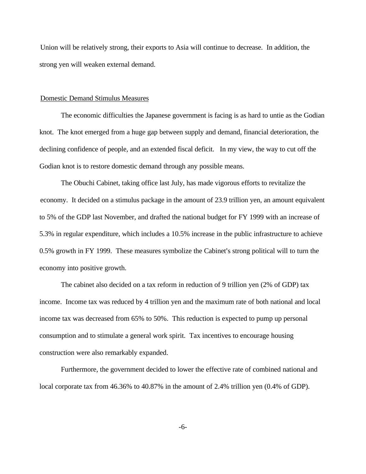Union will be relatively strong, their exports to Asia will continue to decrease. In addition, the strong yen will weaken external demand.

#### Domestic Demand Stimulus Measures

The economic difficulties the Japanese government is facing is as hard to untie as the Godian knot. The knot emerged from a huge gap between supply and demand, financial deterioration, the declining confidence of people, and an extended fiscal deficit. In my view, the way to cut off the Godian knot is to restore domestic demand through any possible means.

The Obuchi Cabinet, taking office last July, has made vigorous efforts to revitalize the economy. It decided on a stimulus package in the amount of 23.9 trillion yen, an amount equivalent to 5% of the GDP last November, and drafted the national budget for FY 1999 with an increase of 5.3% in regular expenditure, which includes a 10.5% increase in the public infrastructure to achieve  $0.5\%$  growth in FY 1999. These measures symbolize the Cabinet's strong political will to turn the economy into positive growth.

The cabinet also decided on a tax reform in reduction of 9 trillion yen (2% of GDP) tax income. Income tax was reduced by 4 trillion yen and the maximum rate of both national and local income tax was decreased from 65% to 50%. This reduction is expected to pump up personal consumption and to stimulate a general work spirit. Tax incentives to encourage housing construction were also remarkably expanded.

Furthermore, the government decided to lower the effective rate of combined national and local corporate tax from 46.36% to 40.87% in the amount of 2.4% trillion yen (0.4% of GDP).

-6-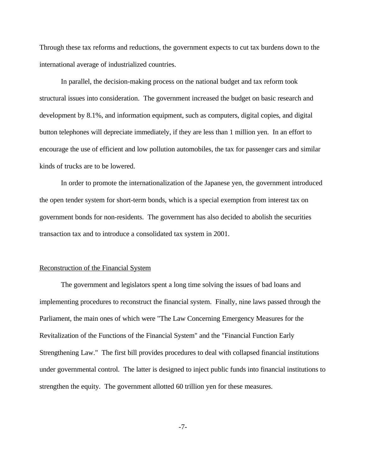Through these tax reforms and reductions, the government expects to cut tax burdens down to the international average of industrialized countries.

In parallel, the decision-making process on the national budget and tax reform took structural issues into consideration. The government increased the budget on basic research and development by 8.1%, and information equipment, such as computers, digital copies, and digital button telephones will depreciate immediately, if they are less than 1 million yen. In an effort to encourage the use of efficient and low pollution automobiles, the tax for passenger cars and similar kinds of trucks are to be lowered.

In order to promote the internationalization of the Japanese yen, the government introduced the open tender system for short-term bonds, which is a special exemption from interest tax on government bonds for non-residents. The government has also decided to abolish the securities transaction tax and to introduce a consolidated tax system in 2001.

# Reconstruction of the Financial System

The government and legislators spent a long time solving the issues of bad loans and implementing procedures to reconstruct the financial system. Finally, nine laws passed through the Parliament, the main ones of which were "The Law Concerning Emergency Measures for the Revitalization of the Functions of the Financial System" and the "Financial Function Early Strengthening Law." The first bill provides procedures to deal with collapsed financial institutions under governmental control. The latter is designed to inject public funds into financial institutions to strengthen the equity. The government allotted 60 trillion yen for these measures.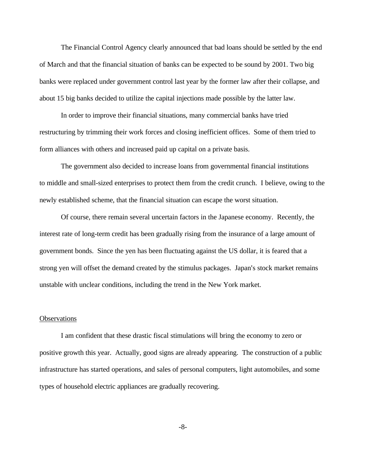The Financial Control Agency clearly announced that bad loans should be settled by the end of March and that the financial situation of banks can be expected to be sound by 2001. Two big banks were replaced under government control last year by the former law after their collapse, and about 15 big banks decided to utilize the capital injections made possible by the latter law.

In order to improve their financial situations, many commercial banks have tried restructuring by trimming their work forces and closing inefficient offices. Some of them tried to form alliances with others and increased paid up capital on a private basis.

The government also decided to increase loans from governmental financial institutions to middle and small-sized enterprises to protect them from the credit crunch. I believe, owing to the newly established scheme, that the financial situation can escape the worst situation.

Of course, there remain several uncertain factors in the Japanese economy. Recently, the interest rate of long-term credit has been gradually rising from the insurance of a large amount of government bonds. Since the yen has been fluctuating against the US dollar, it is feared that a strong yen will offset the demand created by the stimulus packages. Japan's stock market remains unstable with unclear conditions, including the trend in the New York market.

# **Observations**

I am confident that these drastic fiscal stimulations will bring the economy to zero or positive growth this year. Actually, good signs are already appearing. The construction of a public infrastructure has started operations, and sales of personal computers, light automobiles, and some types of household electric appliances are gradually recovering.

-8-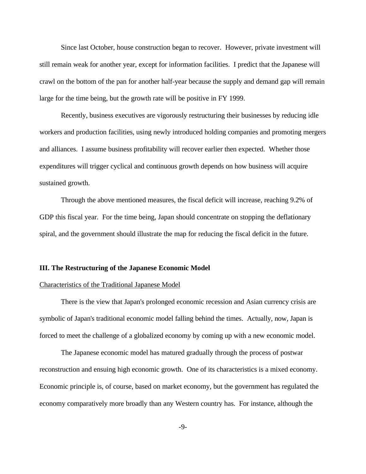Since last October, house construction began to recover. However, private investment will still remain weak for another year, except for information facilities. I predict that the Japanese will crawl on the bottom of the pan for another half-year because the supply and demand gap will remain large for the time being, but the growth rate will be positive in FY 1999.

Recently, business executives are vigorously restructuring their businesses by reducing idle workers and production facilities, using newly introduced holding companies and promoting mergers and alliances. I assume business profitability will recover earlier then expected. Whether those expenditures will trigger cyclical and continuous growth depends on how business will acquire sustained growth.

Through the above mentioned measures, the fiscal deficit will increase, reaching 9.2% of GDP this fiscal year. For the time being, Japan should concentrate on stopping the deflationary spiral, and the government should illustrate the map for reducing the fiscal deficit in the future.

## **III. The Restructuring of the Japanese Economic Model**

## Characteristics of the Traditional Japanese Model

There is the view that Japan's prolonged economic recession and Asian currency crisis are symbolic of Japan's traditional economic model falling behind the times. Actually, now, Japan is forced to meet the challenge of a globalized economy by coming up with a new economic model.

The Japanese economic model has matured gradually through the process of postwar reconstruction and ensuing high economic growth. One of its characteristics is a mixed economy. Economic principle is, of course, based on market economy, but the government has regulated the economy comparatively more broadly than any Western country has. For instance, although the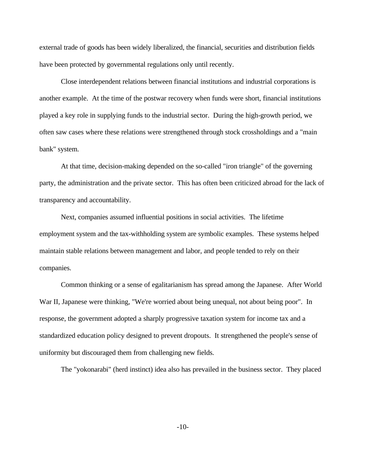external trade of goods has been widely liberalized, the financial, securities and distribution fields have been protected by governmental regulations only until recently.

Close interdependent relations between financial institutions and industrial corporations is another example. At the time of the postwar recovery when funds were short, financial institutions played a key role in supplying funds to the industrial sector. During the high-growth period, we often saw cases where these relations were strengthened through stock crossholdings and a "main bank" system.

At that time, decision-making depended on the so-called "iron triangle" of the governing party, the administration and the private sector. This has often been criticized abroad for the lack of transparency and accountability.

Next, companies assumed influential positions in social activities. The lifetime employment system and the tax-withholding system are symbolic examples. These systems helped maintain stable relations between management and labor, and people tended to rely on their companies.

Common thinking or a sense of egalitarianism has spread among the Japanese. After World War II, Japanese were thinking, "We're worried about being unequal, not about being poor". In response, the government adopted a sharply progressive taxation system for income tax and a standardized education policy designed to prevent dropouts. It strengthened the people's sense of uniformity but discouraged them from challenging new fields.

The "yokonarabi" (herd instinct) idea also has prevailed in the business sector. They placed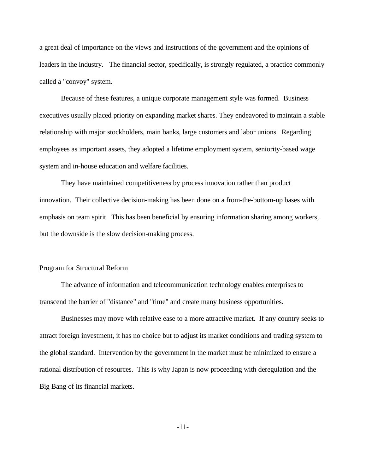a great deal of importance on the views and instructions of the government and the opinions of leaders in the industry. The financial sector, specifically, is strongly regulated, a practice commonly called a "convoy" system.

Because of these features, a unique corporate management style was formed. Business executives usually placed priority on expanding market shares. They endeavored to maintain a stable relationship with major stockholders, main banks, large customers and labor unions. Regarding employees as important assets, they adopted a lifetime employment system, seniority-based wage system and in-house education and welfare facilities.

They have maintained competitiveness by process innovation rather than product innovation. Their collective decision-making has been done on a from-the-bottom-up bases with emphasis on team spirit. This has been beneficial by ensuring information sharing among workers, but the downside is the slow decision-making process.

# Program for Structural Reform

The advance of information and telecommunication technology enables enterprises to transcend the barrier of "distance" and "time" and create many business opportunities.

Businesses may move with relative ease to a more attractive market. If any country seeks to attract foreign investment, it has no choice but to adjust its market conditions and trading system to the global standard. Intervention by the government in the market must be minimized to ensure a rational distribution of resources. This is why Japan is now proceeding with deregulation and the Big Bang of its financial markets.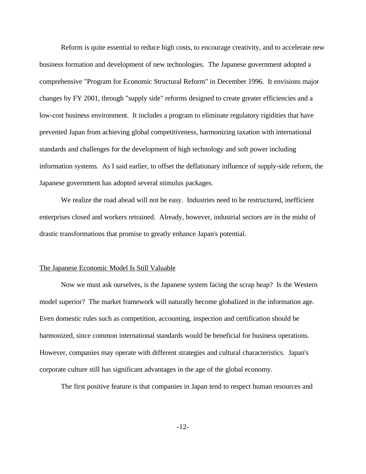Reform is quite essential to reduce high costs, to encourage creativity, and to accelerate new business formation and development of new technologies. The Japanese government adopted a comprehensive "Program for Economic Structural Reform" in December 1996. It envisions major changes by FY 2001, through "supply side" reforms designed to create greater efficiencies and a low-cost business environment. It includes a program to eliminate regulatory rigidities that have prevented Japan from achieving global competitiveness, harmonizing taxation with international standards and challenges for the development of high technology and soft power including information systems. As I said earlier, to offset the deflationary influence of supply-side reform, the Japanese government has adopted several stimulus packages.

We realize the road ahead will not be easy. Industries need to be restructured, inefficient enterprises closed and workers retrained. Already, however, industrial sectors are in the midst of drastic transformations that promise to greatly enhance Japan's potential.

## The Japanese Economic Model Is Still Valuable

Now we must ask ourselves, is the Japanese system facing the scrap heap? Is the Western model superior? The market framework will naturally become globalized in the information age. Even domestic rules such as competition, accounting, inspection and certification should be harmonized, since common international standards would be beneficial for business operations. However, companies may operate with different strategies and cultural characteristics. Japan's corporate culture still has significant advantages in the age of the global economy.

The first positive feature is that companies in Japan tend to respect human resources and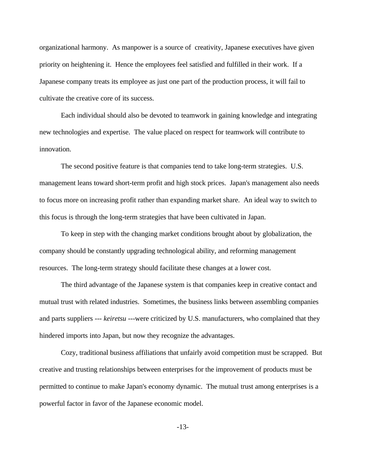organizational harmony. As manpower is a source of creativity, Japanese executives have given priority on heightening it. Hence the employees feel satisfied and fulfilled in their work. If a Japanese company treats its employee as just one part of the production process, it will fail to cultivate the creative core of its success.

Each individual should also be devoted to teamwork in gaining knowledge and integrating new technologies and expertise. The value placed on respect for teamwork will contribute to innovation.

The second positive feature is that companies tend to take long-term strategies. U.S. management leans toward short-term profit and high stock prices. Japan's management also needs to focus more on increasing profit rather than expanding market share. An ideal way to switch to this focus is through the long-term strategies that have been cultivated in Japan.

To keep in step with the changing market conditions brought about by globalization, the company should be constantly upgrading technological ability, and reforming management resources. The long-term strategy should facilitate these changes at a lower cost.

The third advantage of the Japanese system is that companies keep in creative contact and mutual trust with related industries. Sometimes, the business links between assembling companies and parts suppliers --- *keiretsu* ---were criticized by U.S. manufacturers, who complained that they hindered imports into Japan, but now they recognize the advantages.

Cozy, traditional business affiliations that unfairly avoid competition must be scrapped. But creative and trusting relationships between enterprises for the improvement of products must be permitted to continue to make Japan's economy dynamic. The mutual trust among enterprises is a powerful factor in favor of the Japanese economic model.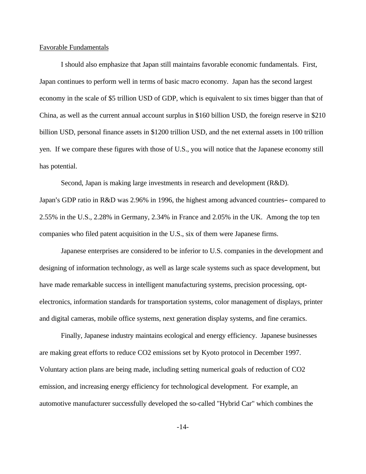## Favorable Fundamentals

I should also emphasize that Japan still maintains favorable economic fundamentals. First, Japan continues to perform well in terms of basic macro economy. Japan has the second largest economy in the scale of \$5 trillion USD of GDP, which is equivalent to six times bigger than that of China, as well as the current annual account surplus in \$160 billion USD, the foreign reserve in \$210 billion USD, personal finance assets in \$1200 trillion USD, and the net external assets in 100 trillion yen. If we compare these figures with those of U.S., you will notice that the Japanese economy still has potential.

Second, Japan is making large investments in research and development (R&D).

Japan's GDP ratio in R&D was 2.96% in 1996, the highest among advanced countries-compared to 2.55% in the U.S., 2.28% in Germany, 2.34% in France and 2.05% in the UK. Among the top ten companies who filed patent acquisition in the U.S., six of them were Japanese firms.

Japanese enterprises are considered to be inferior to U.S. companies in the development and designing of information technology, as well as large scale systems such as space development, but have made remarkable success in intelligent manufacturing systems, precision processing, optelectronics, information standards for transportation systems, color management of displays, printer and digital cameras, mobile office systems, next generation display systems, and fine ceramics.

Finally, Japanese industry maintains ecological and energy efficiency. Japanese businesses are making great efforts to reduce CO2 emissions set by Kyoto protocol in December 1997. Voluntary action plans are being made, including setting numerical goals of reduction of CO2 emission, and increasing energy efficiency for technological development. For example, an automotive manufacturer successfully developed the so-called "Hybrid Car" which combines the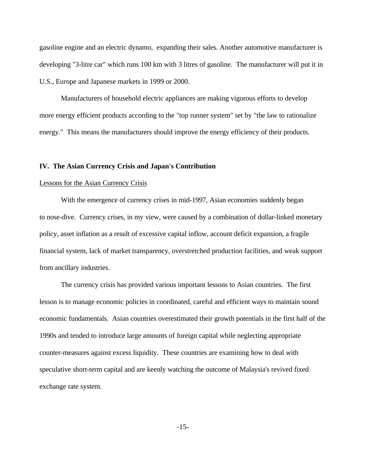gasoline engine and an electric dynamo, expanding their sales. Another automotive manufacturer is developing "3-litre car" which runs 100 km with 3 litres of gasoline. The manufacturer will put it in U.S., Europe and Japanese markets in 1999 or 2000.

Manufacturers of household electric appliances are making vigorous efforts to develop more energy efficient products according to the "top runner system" set by "the law to rationalize energy." This means the manufacturers should improve the energy efficiency of their products.

## **IV. The Asian Currency Crisis and Japan's Contribution**

#### Lessons for the Asian Currency Crisis

With the emergence of currency crises in mid-1997, Asian economies suddenly began to nose-dive. Currency crises, in my view, were caused by a combination of dollar-linked monetary policy, asset inflation as a result of excessive capital inflow, account deficit expansion, a fragile financial system, lack of market transparency, overstretched production facilities, and weak support from ancillary industries.

The currency crisis has provided various important lessons to Asian countries. The first lesson is to manage economic policies in coordinated, careful and efficient ways to maintain sound economic fundamentals. Asian countries overestimated their growth potentials in the first half of the 1990s and tended to introduce large amounts of foreign capital while neglecting appropriate counter-measures against excess liquidity. These countries are examining how to deal with speculative short-term capital and are keenly watching the outcome of Malaysia's revived fixed exchange rate system.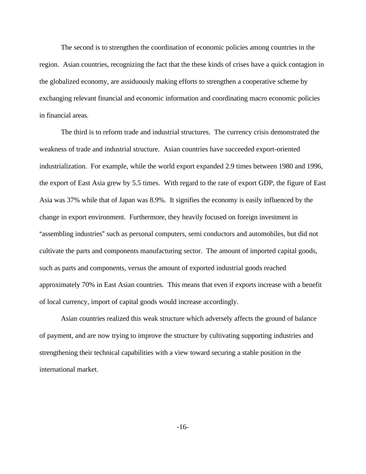The second is to strengthen the coordination of economic policies among countries in the region. Asian countries, recognizing the fact that the these kinds of crises have a quick contagion in the globalized economy, are assiduously making efforts to strengthen a cooperative scheme by exchanging relevant financial and economic information and coordinating macro economic policies in financial areas.

The third is to reform trade and industrial structures. The currency crisis demonstrated the weakness of trade and industrial structure. Asian countries have succeeded export-oriented industrialization. For example, while the world export expanded 2.9 times between 1980 and 1996, the export of East Asia grew by 5.5 times. With regard to the rate of export GDP, the figure of East Asia was 37% while that of Japan was 8.9%. It signifies the economy is easily influenced by the change in export environment. Furthermore, they heavily focused on foreign investment in "assembling industries" such as personal computers, semi conductors and automobiles, but did not cultivate the parts and components manufacturing sector. The amount of imported capital goods, such as parts and components, versus the amount of exported industrial goods reached approximately 70% in East Asian countries. This means that even if exports increase with a benefit of local currency, import of capital goods would increase accordingly.

Asian countries realized this weak structure which adversely affects the ground of balance of payment, and are now trying to improve the structure by cultivating supporting industries and strengthening their technical capabilities with a view toward securing a stable position in the international market.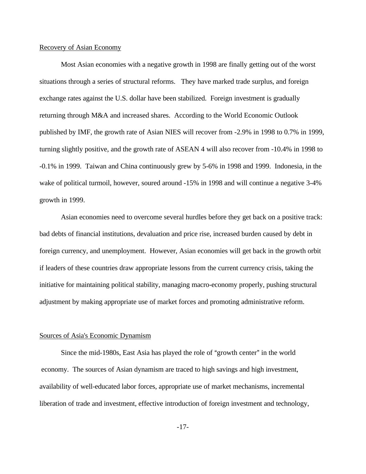## Recovery of Asian Economy

Most Asian economies with a negative growth in 1998 are finally getting out of the worst situations through a series of structural reforms. They have marked trade surplus, and foreign exchange rates against the U.S. dollar have been stabilized. Foreign investment is gradually returning through M&A and increased shares. According to the World Economic Outlook published by IMF, the growth rate of Asian NIES will recover from -2.9% in 1998 to 0.7% in 1999, turning slightly positive, and the growth rate of ASEAN 4 will also recover from -10.4% in 1998 to -0.1% in 1999. Taiwan and China continuously grew by 5-6% in 1998 and 1999. Indonesia, in the wake of political turmoil, however, soured around  $-15\%$  in 1998 and will continue a negative 3-4% growth in 1999.

Asian economies need to overcome several hurdles before they get back on a positive track: bad debts of financial institutions, devaluation and price rise, increased burden caused by debt in foreign currency, and unemployment. However, Asian economies will get back in the growth orbit if leaders of these countries draw appropriate lessons from the current currency crisis, taking the initiative for maintaining political stability, managing macro-economy properly, pushing structural adjustment by making appropriate use of market forces and promoting administrative reform.

## Sources of Asia's Economic Dynamism

Since the mid-1980s, East Asia has played the role of "growth center" in the world economy. The sources of Asian dynamism are traced to high savings and high investment, availability of well-educated labor forces, appropriate use of market mechanisms, incremental liberation of trade and investment, effective introduction of foreign investment and technology,

-17-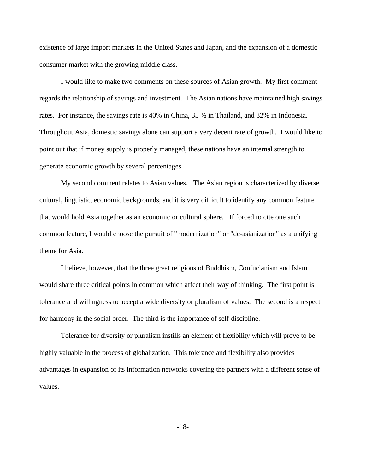existence of large import markets in the United States and Japan, and the expansion of a domestic consumer market with the growing middle class.

I would like to make two comments on these sources of Asian growth. My first comment regards the relationship of savings and investment. The Asian nations have maintained high savings rates. For instance, the savings rate is 40% in China, 35 % in Thailand, and 32% in Indonesia. Throughout Asia, domestic savings alone can support a very decent rate of growth. I would like to point out that if money supply is properly managed, these nations have an internal strength to generate economic growth by several percentages.

My second comment relates to Asian values. The Asian region is characterized by diverse cultural, linguistic, economic backgrounds, and it is very difficult to identify any common feature that would hold Asia together as an economic or cultural sphere. If forced to cite one such common feature, I would choose the pursuit of "modernization" or "de-asianization" as a unifying theme for Asia.

I believe, however, that the three great religions of Buddhism, Confucianism and Islam would share three critical points in common which affect their way of thinking. The first point is tolerance and willingness to accept a wide diversity or pluralism of values. The second is a respect for harmony in the social order. The third is the importance of self-discipline.

Tolerance for diversity or pluralism instills an element of flexibility which will prove to be highly valuable in the process of globalization. This tolerance and flexibility also provides advantages in expansion of its information networks covering the partners with a different sense of values.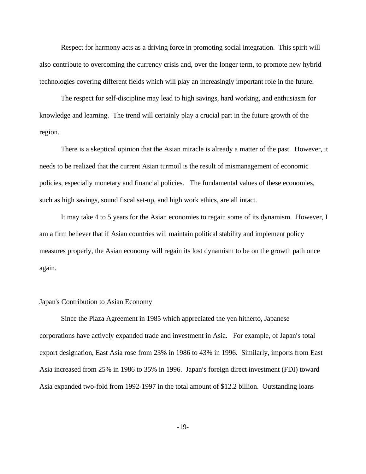Respect for harmony acts as a driving force in promoting social integration. This spirit will also contribute to overcoming the currency crisis and, over the longer term, to promote new hybrid technologies covering different fields which will play an increasingly important role in the future.

The respect for self-discipline may lead to high savings, hard working, and enthusiasm for knowledge and learning. The trend will certainly play a crucial part in the future growth of the region.

There is a skeptical opinion that the Asian miracle is already a matter of the past. However, it needs to be realized that the current Asian turmoil is the result of mismanagement of economic policies, especially monetary and financial policies. The fundamental values of these economies, such as high savings, sound fiscal set-up, and high work ethics, are all intact.

It may take 4 to 5 years for the Asian economies to regain some of its dynamism. However, I am a firm believer that if Asian countries will maintain political stability and implement policy measures properly, the Asian economy will regain its lost dynamism to be on the growth path once again.

#### Japan's Contribution to Asian Economy

Since the Plaza Agreement in 1985 which appreciated the yen hitherto, Japanese corporations have actively expanded trade and investment in Asia. For example, of Japan's total export designation, East Asia rose from 23% in 1986 to 43% in 1996. Similarly, imports from East Asia increased from 25% in 1986 to 35% in 1996. Japan's foreign direct investment (FDI) toward Asia expanded two-fold from 1992-1997 in the total amount of \$12.2 billion. Outstanding loans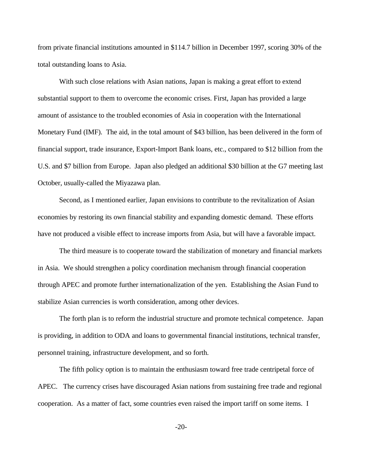from private financial institutions amounted in \$114.7 billion in December 1997, scoring 30% of the total outstanding loans to Asia.

With such close relations with Asian nations, Japan is making a great effort to extend substantial support to them to overcome the economic crises. First, Japan has provided a large amount of assistance to the troubled economies of Asia in cooperation with the International Monetary Fund (IMF). The aid, in the total amount of \$43 billion, has been delivered in the form of financial support, trade insurance, Export-Import Bank loans, etc., compared to \$12 billion from the U.S. and \$7 billion from Europe. Japan also pledged an additional \$30 billion at the G7 meeting last October, usually-called the Miyazawa plan.

Second, as I mentioned earlier, Japan envisions to contribute to the revitalization of Asian economies by restoring its own financial stability and expanding domestic demand. These efforts have not produced a visible effect to increase imports from Asia, but will have a favorable impact.

The third measure is to cooperate toward the stabilization of monetary and financial markets in Asia. We should strengthen a policy coordination mechanism through financial cooperation through APEC and promote further internationalization of the yen. Establishing the Asian Fund to stabilize Asian currencies is worth consideration, among other devices.

The forth plan is to reform the industrial structure and promote technical competence. Japan is providing, in addition to ODA and loans to governmental financial institutions, technical transfer, personnel training, infrastructure development, and so forth.

The fifth policy option is to maintain the enthusiasm toward free trade centripetal force of APEC. The currency crises have discouraged Asian nations from sustaining free trade and regional cooperation. As a matter of fact, some countries even raised the import tariff on some items. I